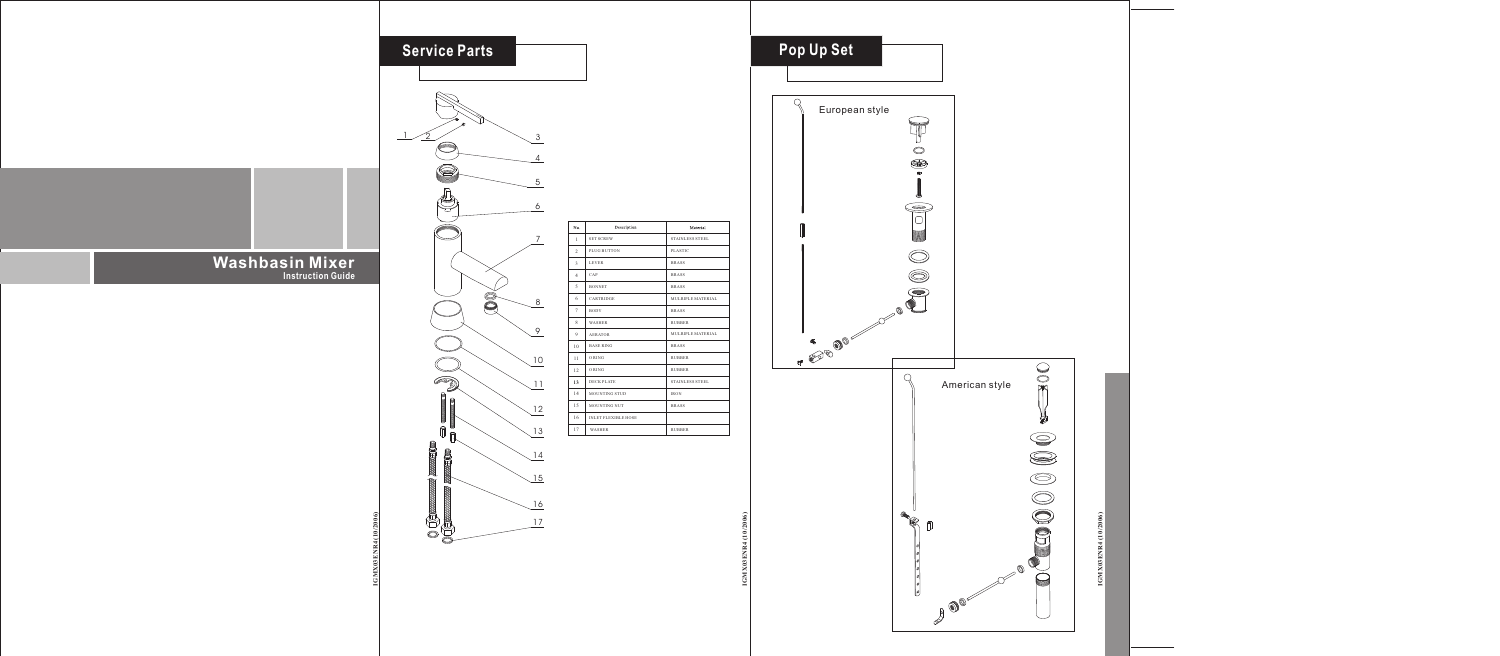**IGMX03ENR4 (10/2006)**  $\frac{1}{2}$